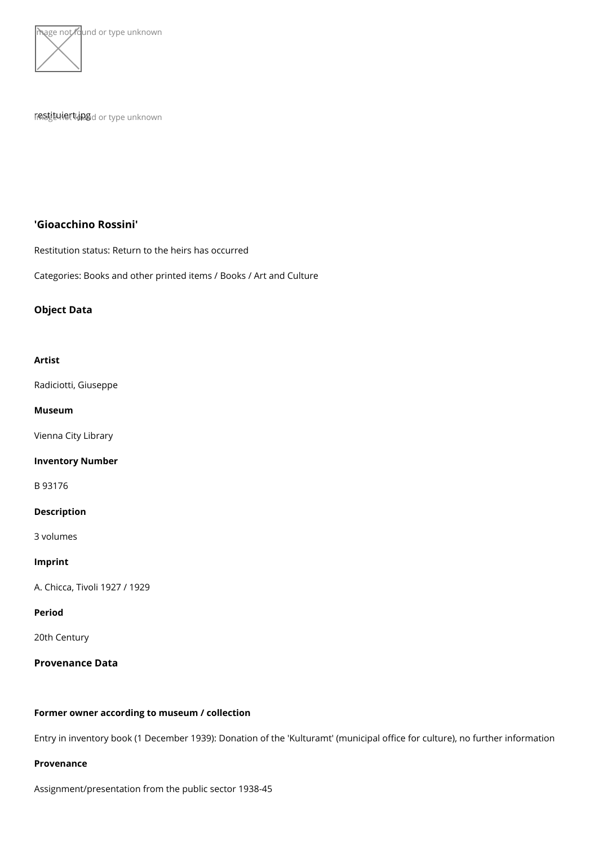



rna§tituhi⊕rt.jup<sub>n9d</sub> or type unknown

'Gioacchino Rossini'

Restitution status: Return to the heirs has occurred

Categories: Books and other printed items / Books / Art and Culture

Object Data

Artist

[Radiciotti, G](https://www.kunstdatenbank.at/search-for-objects/artist/radiciotti  giuseppe)iuseppe

Museum

[Vienna City](https://www.kunstdatenbank.at//detail-view-museum/vienna-city-library.html) Library

Inventory Number

B 93176

Description

3 volumes

Imprint

A. Chicca, Tivoli 1927 / 1929

Period

20th Century

Provenance Data

Former owner according to museum / collection

Entry in inventory book (1 December 1939): Donation of the 'Kulturamt' (municipal offic

Provenance

Assignment/presentation from the public sector 1938-45